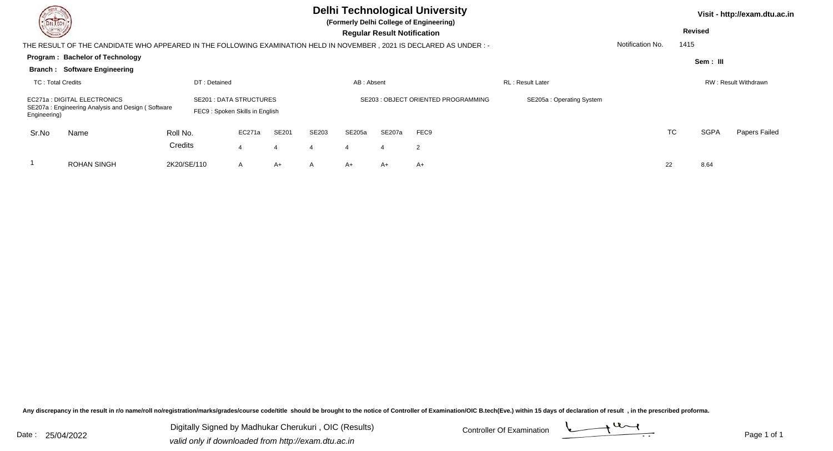| <b>Consulton</b>                                                                                                      | <b>DELTECH</b>                      |             |                                                                  |        |       |       | <b>Delhi Technological University</b><br>(Formerly Delhi College of Engineering)<br><b>Regular Result Notification</b> |                  |                          |                         |    |           | Visit - http://exam.dtu.ac.in<br><b>Revised</b> |                      |  |
|-----------------------------------------------------------------------------------------------------------------------|-------------------------------------|-------------|------------------------------------------------------------------|--------|-------|-------|------------------------------------------------------------------------------------------------------------------------|------------------|--------------------------|-------------------------|----|-----------|-------------------------------------------------|----------------------|--|
| THE RESULT OF THE CANDIDATE WHO APPEARED IN THE FOLLOWING EXAMINATION HELD IN NOVEMBER , 2021 IS DECLARED AS UNDER :- |                                     |             |                                                                  |        |       |       |                                                                                                                        | Notification No. | 1415                     |                         |    |           |                                                 |                      |  |
|                                                                                                                       | Program: Bachelor of Technology     |             |                                                                  |        |       |       |                                                                                                                        |                  |                          |                         |    |           | Sem : III                                       |                      |  |
|                                                                                                                       | <b>Branch: Software Engineering</b> |             |                                                                  |        |       |       |                                                                                                                        |                  |                          |                         |    |           |                                                 |                      |  |
| <b>TC: Total Credits</b>                                                                                              |                                     |             | DT: Detained                                                     |        |       |       | AB: Absent                                                                                                             |                  |                          | <b>RL: Result Later</b> |    |           |                                                 | RW: Result Withdrawn |  |
| EC271a: DIGITAL ELECTRONICS<br>SE207a: Engineering Analysis and Design (Software<br>Engineering)                      |                                     |             | <b>SE201 : DATA STRUCTURES</b><br>FEC9: Spoken Skills in English |        |       |       | SE203: OBJECT ORIENTED PROGRAMMING                                                                                     |                  | SE205a: Operating System |                         |    |           |                                                 |                      |  |
| Sr.No                                                                                                                 | Name                                | Roll No.    |                                                                  | EC271a | SE201 | SE203 | SE205a                                                                                                                 | <b>SE207a</b>    | FEC9                     |                         |    | <b>TC</b> | <b>SGPA</b>                                     | Papers Failed        |  |
|                                                                                                                       |                                     | Credits     |                                                                  |        | 4     |       | $\boldsymbol{4}$                                                                                                       |                  | $\overline{2}$           |                         |    |           |                                                 |                      |  |
|                                                                                                                       | <b>ROHAN SINGH</b>                  | 2K20/SE/110 |                                                                  | A      | A+    | A     | A+                                                                                                                     | A+               | A+                       |                         | 22 |           | 8.64                                            |                      |  |

Digitally Signed by Madhukar Cherukuri, OIC (Results) Controller Of Examination Controller Of Examination Digitally Signed by Madhukar Cherukuri , OIC (Results)valid only if downloaded from http://exam.dtu.ac.in

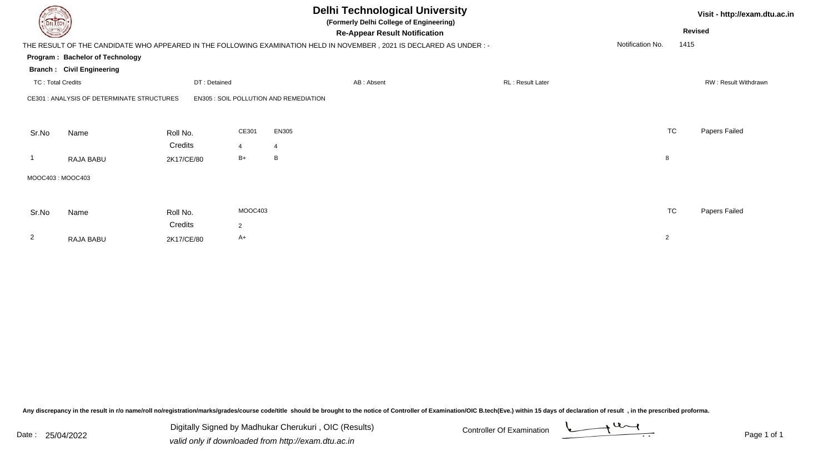| DEL TECH<br>THE RESULT OF THE CANDIDATE WHO APPEARED IN THE FOLLOWING EXAMINATION HELD IN NOVEMBER, 2021 IS DECLARED AS UNDER:- |                                            |                                   |                                 | <b>Delhi Technological University</b><br>(Formerly Delhi College of Engineering)<br><b>Re-Appear Result Notification</b> | Visit - http://exam.dtu.ac.in<br><b>Revised</b><br>Notification No.<br>1415 |                |                      |
|---------------------------------------------------------------------------------------------------------------------------------|--------------------------------------------|-----------------------------------|---------------------------------|--------------------------------------------------------------------------------------------------------------------------|-----------------------------------------------------------------------------|----------------|----------------------|
|                                                                                                                                 | Program: Bachelor of Technology            |                                   |                                 |                                                                                                                          |                                                                             |                |                      |
| <b>Branch: Civil Engineering</b><br><b>TC: Total Credits</b><br>DT: Detained                                                    |                                            |                                   |                                 | AB: Absent                                                                                                               | RL: Result Later                                                            |                | RW: Result Withdrawn |
|                                                                                                                                 | CE301 : ANALYSIS OF DETERMINATE STRUCTURES |                                   |                                 | <b>EN305 : SOIL POLLUTION AND REMEDIATION</b>                                                                            |                                                                             |                |                      |
| Sr.No                                                                                                                           | Name<br>RAJA BABU                          | Roll No.<br>Credits<br>2K17/CE/80 | CE301<br>$\overline{4}$<br>$B+$ | EN305<br>$\overline{4}$<br>B                                                                                             |                                                                             | <b>TC</b><br>8 | Papers Failed        |
|                                                                                                                                 |                                            |                                   |                                 |                                                                                                                          |                                                                             |                |                      |
| MOOC403: MOOC403                                                                                                                |                                            |                                   |                                 |                                                                                                                          |                                                                             |                |                      |
| Sr.No                                                                                                                           | Name                                       | Roll No.                          | MOOC403                         |                                                                                                                          |                                                                             | <b>TC</b>      | Papers Failed        |
|                                                                                                                                 |                                            | Credits                           | $\overline{2}$                  |                                                                                                                          |                                                                             |                |                      |
| $\overline{2}$                                                                                                                  | RAJA BABU                                  | 2K17/CE/80                        | A+                              |                                                                                                                          |                                                                             | $\overline{2}$ |                      |

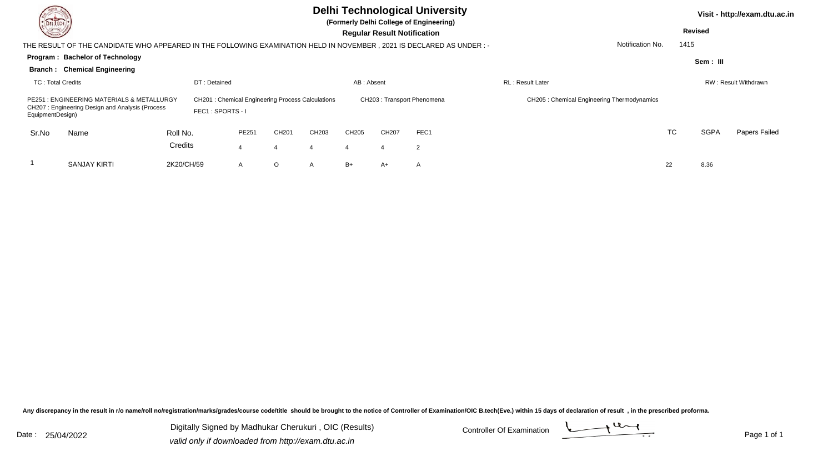| DEL TECH<br><b>Corners</b> | <b>Delhi Technological University</b><br>(Formerly Delhi College of Engineering)<br><b>Regular Result Notification</b> |            |                                                                             |              |       |       |            |       |                            |                                            |                  | <b>Revised</b> | Visit - http://exam.dtu.ac.in |                      |
|----------------------------|------------------------------------------------------------------------------------------------------------------------|------------|-----------------------------------------------------------------------------|--------------|-------|-------|------------|-------|----------------------------|--------------------------------------------|------------------|----------------|-------------------------------|----------------------|
|                            | THE RESULT OF THE CANDIDATE WHO APPEARED IN THE FOLLOWING EXAMINATION HELD IN NOVEMBER, 2021 IS DECLARED AS UNDER :-   |            |                                                                             |              |       |       |            |       |                            |                                            | Notification No. | 1415           |                               |                      |
|                            | Program: Bachelor of Technology                                                                                        |            |                                                                             |              |       |       |            |       |                            |                                            |                  |                | Sem : III                     |                      |
|                            | <b>Branch: Chemical Engineering</b>                                                                                    |            |                                                                             |              |       |       |            |       |                            |                                            |                  |                |                               |                      |
| <b>TC: Total Credits</b>   |                                                                                                                        |            | DT: Detained                                                                |              |       |       | AB: Absent |       |                            | <b>RL: Result Later</b>                    |                  |                |                               | RW: Result Withdrawn |
| EquipmentDesign)           | PE251 : ENGINEERING MATERIALS & METALLURGY<br>CH207: Engineering Design and Analysis (Process                          |            | <b>CH201: Chemical Engineering Process Calculations</b><br>FEC1: SPORTS - I |              |       |       |            |       | CH203: Transport Phenomena | CH205: Chemical Engineering Thermodynamics |                  |                |                               |                      |
| Sr.No                      | Name                                                                                                                   | Roll No.   |                                                                             | PE251        | CH201 | CH203 | CH205      | CH207 | FEC1                       |                                            |                  | <b>TC</b>      | <b>SGPA</b>                   | Papers Failed        |
|                            |                                                                                                                        | Credits    |                                                                             |              |       |       |            |       | $\overline{2}$             |                                            |                  |                |                               |                      |
|                            | <b>SANJAY KIRTI</b>                                                                                                    | 2K20/CH/59 |                                                                             | $\mathsf{A}$ | O     | A     | $B+$       | A+    | A                          |                                            |                  | 22             | 8.36                          |                      |

Digitally Signed by Madhukar Cherukuri, OIC (Results) Controller Of Examination Controller Of Examination Digitally Signed by Madhukar Cherukuri , OIC (Results)valid only if downloaded from http://exam.dtu.ac.in